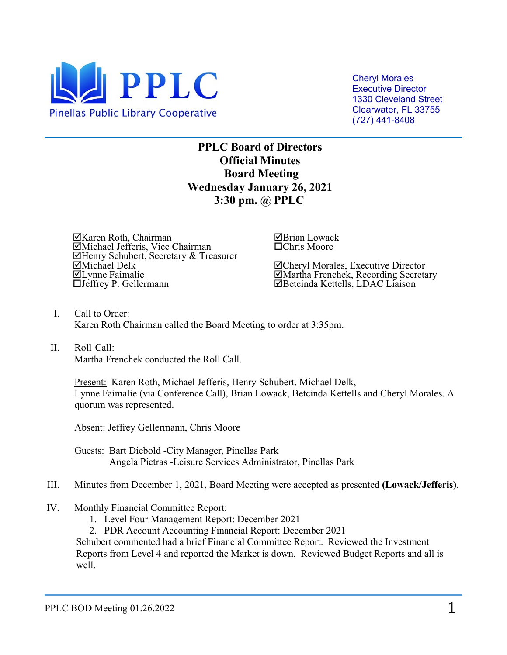

Cheryl Morales Executive Director 1330 Cleveland Street Clearwater, FL 33755 (727) 441-8408

**PPLC Board of Directors Official Minutes Board Meeting Wednesday January 26, 2021 3:30 pm. @ PPLC**

Karen Roth, Chairman Michael Jefferis, Vice Chairman Henry Schubert, Secretary & Treasurer Michael Delk Lynne Faimalie Jeffrey P. Gellermann

Brian Lowack Chris Moore

Cheryl Morales, Executive Director Martha Frenchek, Recording Secretary Betcinda Kettells, LDAC Liaison

- I. Call to Order: Karen Roth Chairman called the Board Meeting to order at 3:35pm.
- II. Roll Call: Martha Frenchek conducted the Roll Call.

Present: Karen Roth, Michael Jefferis, Henry Schubert, Michael Delk, Lynne Faimalie (via Conference Call), Brian Lowack, Betcinda Kettells and Cheryl Morales. A quorum was represented.

Absent: Jeffrey Gellermann, Chris Moore

Guests: Bart Diebold -City Manager, Pinellas Park Angela Pietras -Leisure Services Administrator, Pinellas Park

- III. Minutes from December 1, 2021, Board Meeting were accepted as presented **(Lowack/Jefferis)**.
- IV. Monthly Financial Committee Report:
	- 1. Level Four Management Report: December 2021
	- 2. PDR Account Accounting Financial Report: December 2021

Schubert commented had a brief Financial Committee Report. Reviewed the Investment Reports from Level 4 and reported the Market is down. Reviewed Budget Reports and all is well.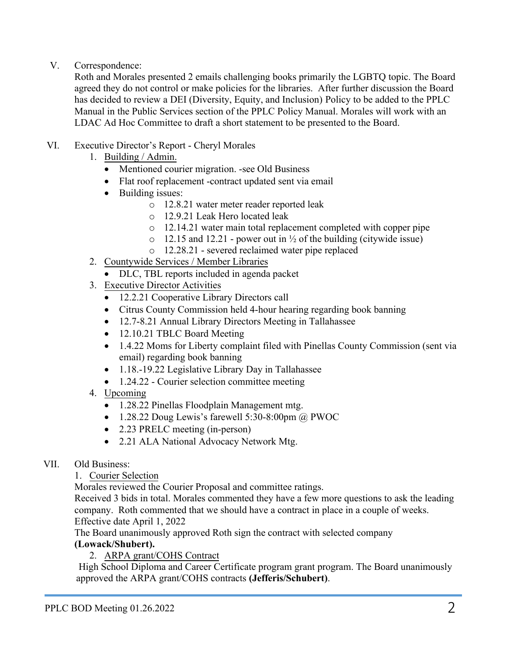# V. Correspondence:

Roth and Morales presented 2 emails challenging books primarily the LGBTQ topic. The Board agreed they do not control or make policies for the libraries. After further discussion the Board has decided to review a DEI (Diversity, Equity, and Inclusion) Policy to be added to the PPLC Manual in the Public Services section of the PPLC Policy Manual. Morales will work with an LDAC Ad Hoc Committee to draft a short statement to be presented to the Board.

# VI. Executive Director's Report - Cheryl Morales

- 1. Building / Admin.
	- Mentioned courier migration. -see Old Business
	- Flat roof replacement -contract updated sent via email
	- Building issues:
		- o 12.8.21 water meter reader reported leak
		- o 12.9.21 Leak Hero located leak
		- o 12.14.21 water main total replacement completed with copper pipe
		- $\circ$  12.15 and 12.21 power out in  $\frac{1}{2}$  of the building (citywide issue)
		- o 12.28.21 severed reclaimed water pipe replaced
- 2. Countywide Services / Member Libraries
	- DLC, TBL reports included in agenda packet
- 3. Executive Director Activities
	- 12.2.21 Cooperative Library Directors call
	- Citrus County Commission held 4-hour hearing regarding book banning
	- 12.7-8.21 Annual Library Directors Meeting in Tallahassee
	- 12.10.21 TBLC Board Meeting
	- 1.4.22 Moms for Liberty complaint filed with Pinellas County Commission (sent via email) regarding book banning
	- 1.18.-19.22 Legislative Library Day in Tallahassee
	- 1.24.22 Courier selection committee meeting
- 4. Upcoming
	- 1.28.22 Pinellas Floodplain Management mtg.
	- 1.28.22 Doug Lewis's farewell 5:30-8:00pm @ PWOC
	- 2.23 PRELC meeting (in-person)
	- 2.21 ALA National Advocacy Network Mtg.
- VII. Old Business:

## 1. Courier Selection

Morales reviewed the Courier Proposal and committee ratings.

Received 3 bids in total. Morales commented they have a few more questions to ask the leading company. Roth commented that we should have a contract in place in a couple of weeks. Effective date April 1, 2022

The Board unanimously approved Roth sign the contract with selected company

## **(Lowack/Shubert).**

2. ARPA grant/COHS Contract

 High School Diploma and Career Certificate program grant program. The Board unanimously approved the ARPA grant/COHS contracts **(Jefferis/Schubert)**.